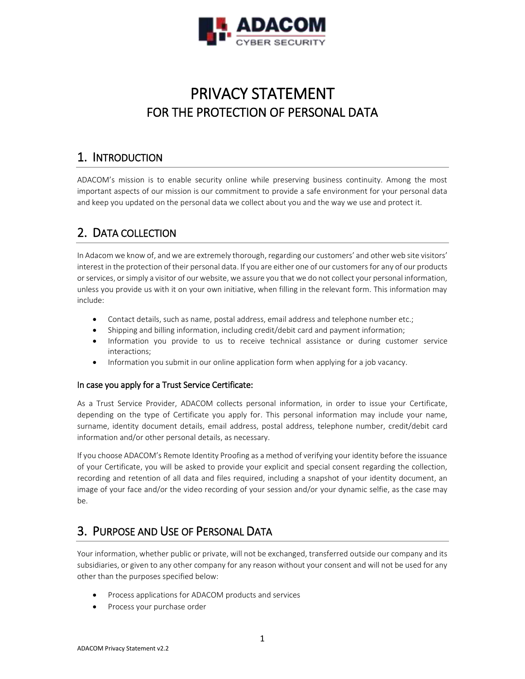

# PRIVACY STATEMENT FOR THE PROTECTION OF PERSONAL DATA

### 1. INTRODUCTION

ADACOM's mission is to enable security online while preserving business continuity. Among the most important aspects of our mission is our commitment to provide a safe environment for your personal data and keep you updated on the personal data we collect about you and the way we use and protect it.

### 2. DATA COLLECTION

In Adacom we know of, and we are extremely thorough, regarding our customers' and other web site visitors' interest in the protection of their personal data. If you are either one of our customers for any of our products or services, or simply a visitor of our website, we assure you that we do not collect your personal information, unless you provide us with it on your own initiative, when filling in the relevant form. This information may include:

- Contact details, such as name, postal address, email address and telephone number etc.;
- Shipping and billing information, including credit/debit card and payment information;
- Information you provide to us to receive technical assistance or during customer service interactions;
- Information you submit in our online application form when applying for a job vacancy.

#### In case you apply for a Trust Service Certificate:

As a Trust Service Provider, ADACOM collects personal information, in order to issue your Certificate, depending on the type of Certificate you apply for. This personal information may include your name, surname, identity document details, email address, postal address, telephone number, credit/debit card information and/or other personal details, as necessary.

If you choose ADACOM's Remote Identity Proofing as a method of verifying your identity before the issuance of your Certificate, you will be asked to provide your explicit and special consent regarding the collection, recording and retention of all data and files required, including a snapshot of your identity document, an image of your face and/or the video recording of your session and/or your dynamic selfie, as the case may be.

# 3. PURPOSE AND USE OF PERSONAL DATA

Your information, whether public or private, will not be exchanged, transferred outside our company and its subsidiaries, or given to any other company for any reason without your consent and will not be used for any other than the purposes specified below:

- Process applications for ADACOM products and services
- Process your purchase order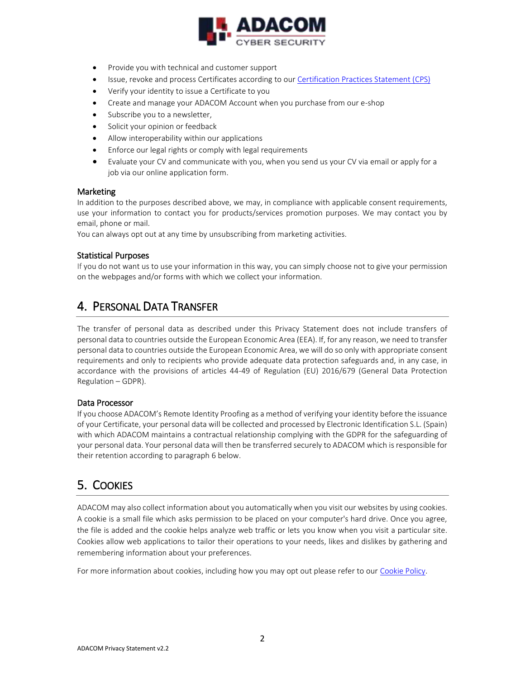

- Provide you with technical and customer support
- **Issue, revoke and process Certificates according to our [Certification Practices Statement \(CPS\)](https://pki.adacom.com/repository/en/CPS/)**
- Verify your identity to issue a Certificate to you
- Create and manage your ADACOM Account when you purchase from our e-shop
- Subscribe you to a newsletter,
- Solicit your opinion or feedback
- Allow interoperability within our applications
- Enforce our legal rights or comply with legal requirements
- Evaluate your CV and communicate with you, when you send us your CV via email or apply for a job via our online application form.

#### Marketing

In addition to the purposes described above, we may, in compliance with applicable consent requirements, use your information to contact you for products/services promotion purposes. We may contact you by email, phone or mail.

You can always opt out at any time by unsubscribing from marketing activities.

#### Statistical Purposes

If you do not want us to use your information in this way, you can simply choose not to give your permission on the webpages and/or forms with which we collect your information.

### 4. PERSONAL DATA TRANSFER

The transfer of personal data as described under this Privacy Statement does not include transfers of personal data to countries outside the European Economic Area (ΕΕΑ). If, for any reason, we need to transfer personal data to countries outside the European Economic Area, we will do so only with appropriate consent requirements and only to recipients who provide adequate data protection safeguards and, in any case, in accordance with the provisions of articles 44-49 of Regulation (EU) 2016/679 (General Data Protection Regulation – GDPR).

#### Data Processor

If you choose ADACOM's Remote Identity Proofing as a method of verifying your identity before the issuance of your Certificate, your personal data will be collected and processed by Electronic Identification S.L. (Spain) with which ADACOM maintains a contractual relationship complying with the GDPR for the safeguarding of your personal data. Your personal data will then be transferred securely to ADACOM which is responsible for their retention according to paragraph 6 below.

# 5. COOKIES

ADACOM may also collect information about you automatically when you visit our websites by using cookies. A cookie is a small file which asks permission to be placed on your computer's hard drive. Once you agree, the file is added and the cookie helps analyze web traffic or lets you know when you visit a particular site. Cookies allow web applications to tailor their operations to your needs, likes and dislikes by gathering and remembering information about your preferences.

For more information about cookies, including how you may opt out please refer to our [Cookie Policy.](https://pki.adacom.com/repository/en/data-protection/)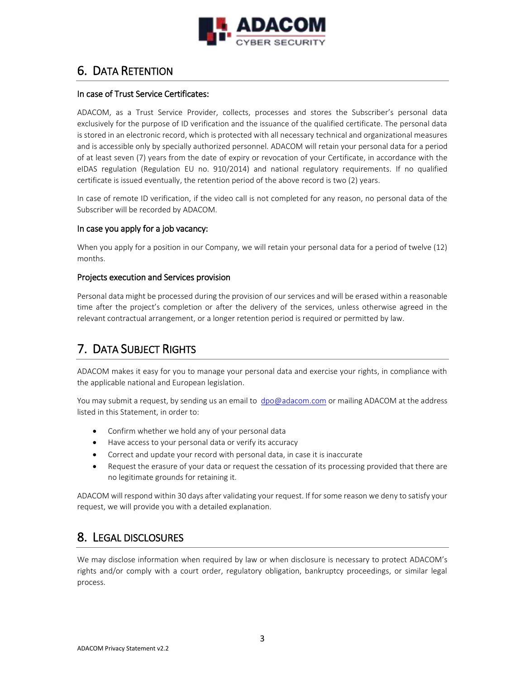

# 6. DATA RETENTION

#### In case of Trust Service Certificates:

ADACOM, as a Trust Service Provider, collects, processes and stores the Subscriber's personal data exclusively for the purpose of ID verification and the issuance of the qualified certificate. The personal data is stored in an electronic record, which is protected with all necessary technical and organizational measures and is accessible only by specially authorized personnel. ADACOM will retain your personal data for a period of at least seven (7) years from the date of expiry or revocation of your Certificate, in accordance with the eIDAS regulation (Regulation EU no. 910/2014) and national regulatory requirements. If no qualified certificate is issued eventually, the retention period of the above record is two (2) years.

In case of remote ID verification, if the video call is not completed for any reason, no personal data of the Subscriber will be recorded by ADACOM.

#### In case you apply for a job vacancy:

When you apply for a position in our Company, we will retain your personal data for a period of twelve (12) months.

#### Projects execution and Services provision

Personal data might be processed during the provision of our services and will be erased within a reasonable time after the project's completion or after the delivery of the services, unless otherwise agreed in the relevant contractual arrangement, or a longer retention period is required or permitted by law.

# 7. DATA SUBJECT RIGHTS

ADACOM makes it easy for you to manage your personal data and exercise your rights, in compliance with the applicable national and European legislation.

You may submit a request, by sending us an email to [dpo@adacom.com](mailto:dpo@adacom.com) or mailing ADACOM at the address listed in this Statement, in order to:

- Confirm whether we hold any of your personal data
- Have access to your personal data or verify its accuracy
- Correct and update your record with personal data, in case it is inaccurate
- Request the erasure of your data or request the cessation of its processing provided that there are no legitimate grounds for retaining it.

ADACOM will respond within 30 days after validating your request. If for some reason we deny to satisfy your request, we will provide you with a detailed explanation.

### 8. LEGAL DISCLOSURES

We may disclose information when required by law or when disclosure is necessary to protect ADACOM's rights and/or comply with a court order, regulatory obligation, bankruptcy proceedings, or similar legal process.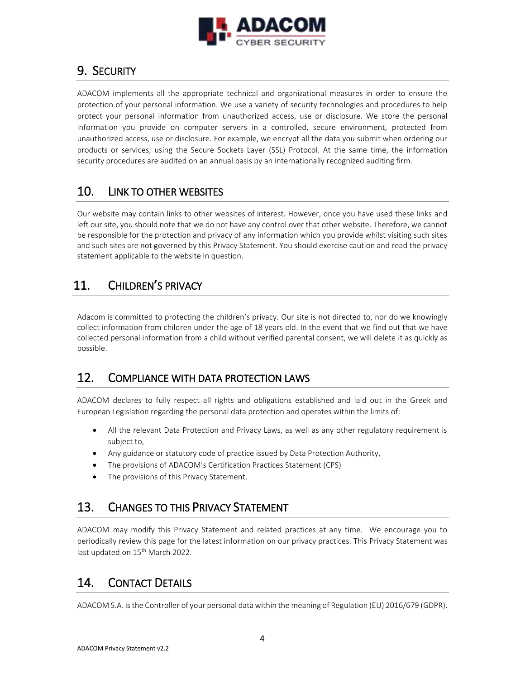

### 9. SECURITY

ADACOM implements all the appropriate technical and organizational measures in order to ensure the protection of your personal information. We use a variety of security technologies and procedures to help protect your personal information from unauthorized access, use or disclosure. We store the personal information you provide on computer servers in a controlled, secure environment, protected from unauthorized access, use or disclosure. For example, we encrypt all the data you submit when ordering our products or services, using the Secure Sockets Layer (SSL) Protocol. At the same time, the information security procedures are audited on an annual basis by an internationally recognized auditing firm.

### 10. LINK TO OTHER WEBSITES

Our website may contain links to other websites of interest. However, once you have used these links and left our site, you should note that we do not have any control over that other website. Therefore, we cannot be responsible for the protection and privacy of any information which you provide whilst visiting such sites and such sites are not governed by this Privacy Statement. You should exercise caution and read the privacy statement applicable to the website in question.

# 11. CHILDREN'S PRIVACY

Adacom is committed to protecting the children's privacy. Our site is not directed to, nor do we knowingly collect information from children under the age of 18 years old. In the event that we find out that we have collected personal information from a child without verified parental consent, we will delete it as quickly as possible.

### 12. COMPLIANCE WITH DATA PROTECTION LAWS

ADACOM declares to fully respect all rights and obligations established and laid out in the Greek and European Legislation regarding the personal data protection and operates within the limits of:

- All the relevant Data Protection and Privacy Laws, as well as any other regulatory requirement is subject to,
- Any guidance or statutory code of practice issued by Data Protection Authority,
- The provisions of ADACOM's Certification Practices Statement (CPS)
- The provisions of this Privacy Statement.

### 13. CHANGES TO THIS PRIVACY STATEMENT

ADACOM may modify this Privacy Statement and related practices at any time. We encourage you to periodically review this page for the latest information on our privacy practices. This Privacy Statement was last updated on 15<sup>th</sup> March 2022.

# 14. CONTACT DETAILS

ADACOM S.A. is the Controller of your personal data within the meaning of Regulation (EU) 2016/679 (GDPR).